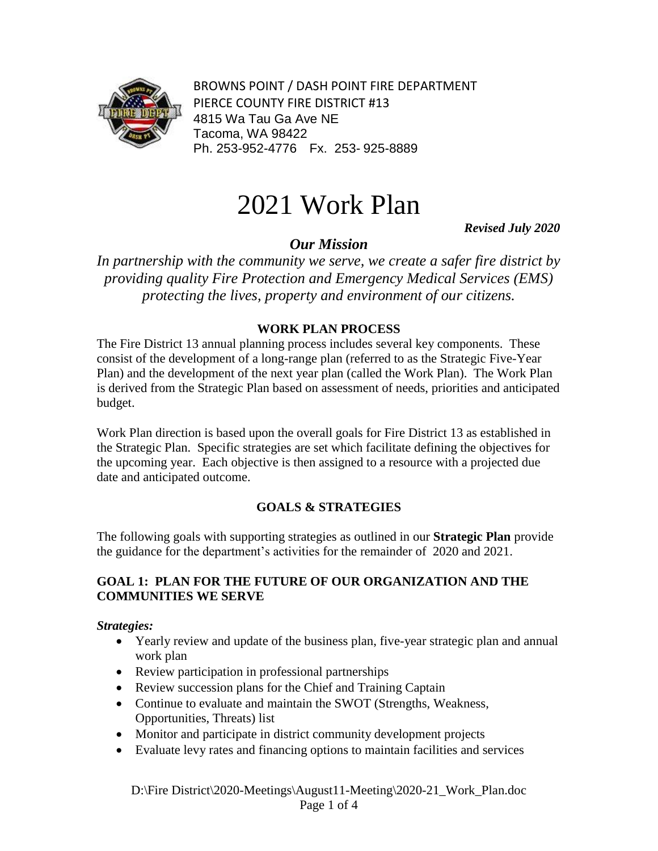

BROWNS POINT / DASH POINT FIRE DEPARTMENT PIERCE COUNTY FIRE DISTRICT #13 4815 Wa Tau Ga Ave NE Tacoma, WA 98422 Ph. 253-952-4776 Fx. 253- 925-8889

# 2021 Work Plan

 *Revised July 2020*

## *Our Mission*

*In partnership with the community we serve, we create a safer fire district by providing quality Fire Protection and Emergency Medical Services (EMS) protecting the lives, property and environment of our citizens.* 

#### **WORK PLAN PROCESS**

The Fire District 13 annual planning process includes several key components. These consist of the development of a long-range plan (referred to as the Strategic Five-Year Plan) and the development of the next year plan (called the Work Plan). The Work Plan is derived from the Strategic Plan based on assessment of needs, priorities and anticipated budget.

Work Plan direction is based upon the overall goals for Fire District 13 as established in the Strategic Plan. Specific strategies are set which facilitate defining the objectives for the upcoming year. Each objective is then assigned to a resource with a projected due date and anticipated outcome.

## **GOALS & STRATEGIES**

The following goals with supporting strategies as outlined in our **Strategic Plan** provide the guidance for the department's activities for the remainder of 2020 and 2021.

#### **GOAL 1: PLAN FOR THE FUTURE OF OUR ORGANIZATION AND THE COMMUNITIES WE SERVE**

#### *Strategies:*

- Yearly review and update of the business plan, five-year strategic plan and annual work plan
- Review participation in professional partnerships
- Review succession plans for the Chief and Training Captain
- Continue to evaluate and maintain the SWOT (Strengths, Weakness, Opportunities, Threats) list
- Monitor and participate in district community development projects
- Evaluate levy rates and financing options to maintain facilities and services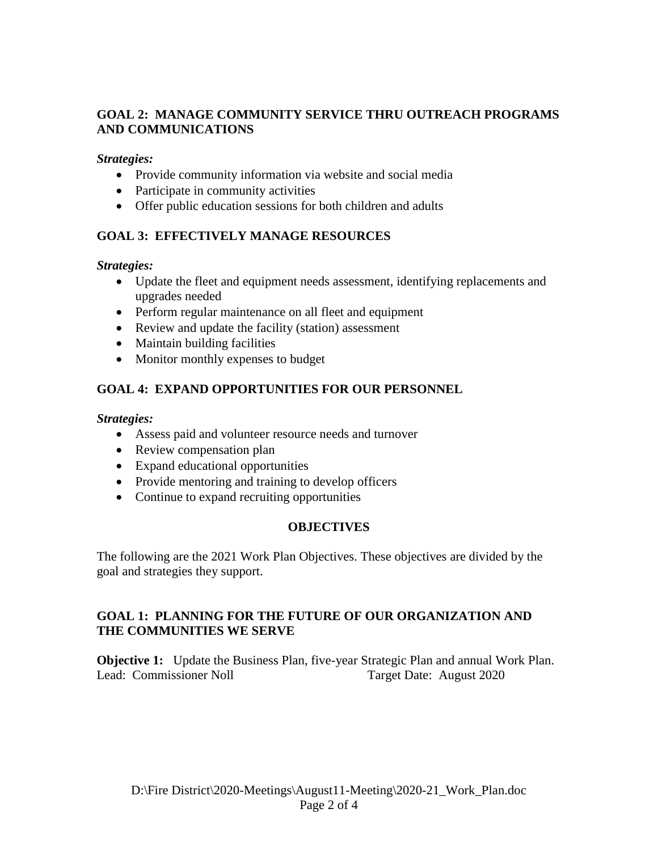## **GOAL 2: MANAGE COMMUNITY SERVICE THRU OUTREACH PROGRAMS AND COMMUNICATIONS**

*Strategies:*

- Provide community information via website and social media
- Participate in community activities
- Offer public education sessions for both children and adults

## **GOAL 3: EFFECTIVELY MANAGE RESOURCES**

*Strategies:*

- Update the fleet and equipment needs assessment, identifying replacements and upgrades needed
- Perform regular maintenance on all fleet and equipment
- Review and update the facility (station) assessment
- Maintain building facilities
- Monitor monthly expenses to budget

## **GOAL 4: EXPAND OPPORTUNITIES FOR OUR PERSONNEL**

*Strategies:*

- Assess paid and volunteer resource needs and turnover
- Review compensation plan
- Expand educational opportunities
- Provide mentoring and training to develop officers
- Continue to expand recruiting opportunities

#### **OBJECTIVES**

The following are the 2021 Work Plan Objectives. These objectives are divided by the goal and strategies they support.

#### **GOAL 1: PLANNING FOR THE FUTURE OF OUR ORGANIZATION AND THE COMMUNITIES WE SERVE**

**Objective 1:** Update the Business Plan, five-year Strategic Plan and annual Work Plan. Lead: Commissioner Noll Target Date: August 2020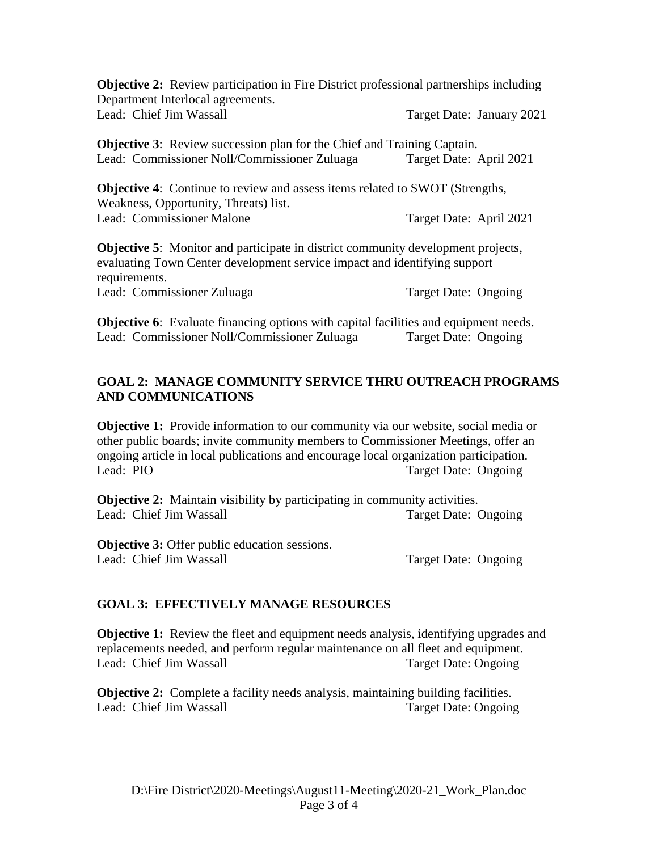**Objective 2:** Review participation in Fire District professional partnerships including Department Interlocal agreements. Lead: Chief Jim Wassall Target Date: January 2021

**Objective 3:** Review succession plan for the Chief and Training Captain. Lead: Commissioner Noll/Commissioner Zuluaga Target Date: April 2021

**Objective 4**: Continue to review and assess items related to SWOT (Strengths, Weakness, Opportunity, Threats) list. Lead: Commissioner Malone Target Date: April 2021

**Objective 5**: Monitor and participate in district community development projects, evaluating Town Center development service impact and identifying support requirements. Lead: Commissioner Zuluaga Target Date: Ongoing

**Objective 6:** Evaluate financing options with capital facilities and equipment needs. Lead: Commissioner Noll/Commissioner Zuluaga Target Date: Ongoing

#### **GOAL 2: MANAGE COMMUNITY SERVICE THRU OUTREACH PROGRAMS AND COMMUNICATIONS**

**Objective 1:** Provide information to our community via our website, social media or other public boards; invite community members to Commissioner Meetings, offer an ongoing article in local publications and encourage local organization participation. Lead: PIO Target Date: Ongoing

**Objective 2:** Maintain visibility by participating in community activities. Lead: Chief Jim Wassall Target Date: Ongoing

**Objective 3:** Offer public education sessions. Lead: Chief Jim Wassall Target Date: Ongoing

#### **GOAL 3: EFFECTIVELY MANAGE RESOURCES**

**Objective 1:** Review the fleet and equipment needs analysis, identifying upgrades and replacements needed, and perform regular maintenance on all fleet and equipment. Lead: Chief Jim Wassall Target Date: Ongoing

**Objective 2:** Complete a facility needs analysis, maintaining building facilities. Lead: Chief Jim Wassall Target Date: Ongoing